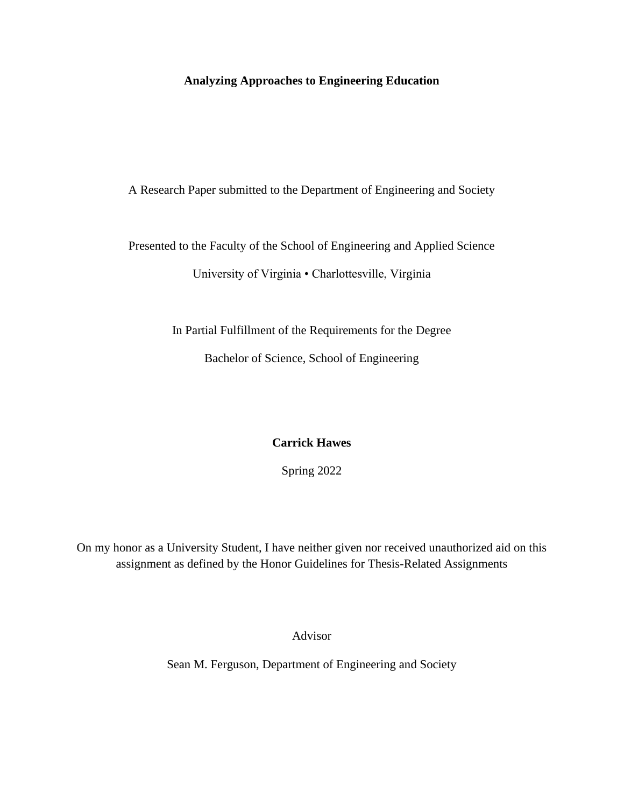# **Analyzing Approaches to Engineering Education**

## A Research Paper submitted to the Department of Engineering and Society

Presented to the Faculty of the School of Engineering and Applied Science

University of Virginia • Charlottesville, Virginia

In Partial Fulfillment of the Requirements for the Degree

Bachelor of Science, School of Engineering

# **Carrick Hawes**

Spring 2022

On my honor as a University Student, I have neither given nor received unauthorized aid on this assignment as defined by the Honor Guidelines for Thesis-Related Assignments

Advisor

Sean M. Ferguson, Department of Engineering and Society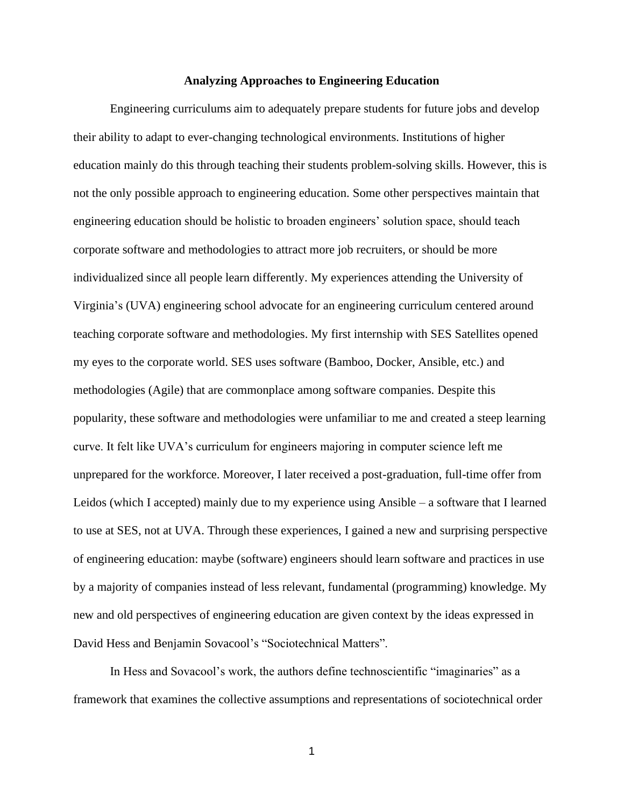#### **Analyzing Approaches to Engineering Education**

Engineering curriculums aim to adequately prepare students for future jobs and develop their ability to adapt to ever-changing technological environments. Institutions of higher education mainly do this through teaching their students problem-solving skills. However, this is not the only possible approach to engineering education. Some other perspectives maintain that engineering education should be holistic to broaden engineers' solution space, should teach corporate software and methodologies to attract more job recruiters, or should be more individualized since all people learn differently. My experiences attending the University of Virginia's (UVA) engineering school advocate for an engineering curriculum centered around teaching corporate software and methodologies. My first internship with SES Satellites opened my eyes to the corporate world. SES uses software (Bamboo, Docker, Ansible, etc.) and methodologies (Agile) that are commonplace among software companies. Despite this popularity, these software and methodologies were unfamiliar to me and created a steep learning curve. It felt like UVA's curriculum for engineers majoring in computer science left me unprepared for the workforce. Moreover, I later received a post-graduation, full-time offer from Leidos (which I accepted) mainly due to my experience using Ansible – a software that I learned to use at SES, not at UVA. Through these experiences, I gained a new and surprising perspective of engineering education: maybe (software) engineers should learn software and practices in use by a majority of companies instead of less relevant, fundamental (programming) knowledge. My new and old perspectives of engineering education are given context by the ideas expressed in David Hess and Benjamin Sovacool's "Sociotechnical Matters".

In Hess and Sovacool's work, the authors define technoscientific "imaginaries" as a framework that examines the collective assumptions and representations of sociotechnical order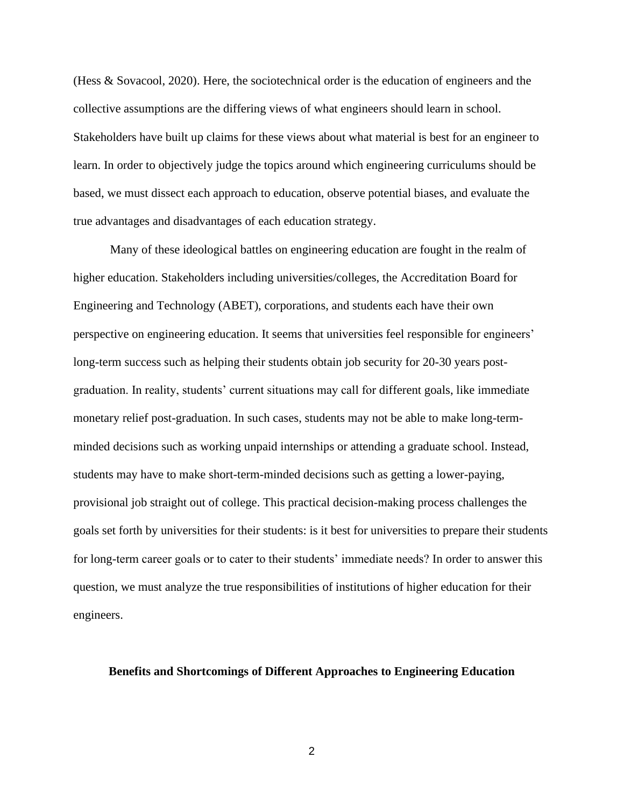(Hess & Sovacool, 2020). Here, the sociotechnical order is the education of engineers and the collective assumptions are the differing views of what engineers should learn in school. Stakeholders have built up claims for these views about what material is best for an engineer to learn. In order to objectively judge the topics around which engineering curriculums should be based, we must dissect each approach to education, observe potential biases, and evaluate the true advantages and disadvantages of each education strategy.

Many of these ideological battles on engineering education are fought in the realm of higher education. Stakeholders including universities/colleges, the Accreditation Board for Engineering and Technology (ABET), corporations, and students each have their own perspective on engineering education. It seems that universities feel responsible for engineers' long-term success such as helping their students obtain job security for 20-30 years postgraduation. In reality, students' current situations may call for different goals, like immediate monetary relief post-graduation. In such cases, students may not be able to make long-termminded decisions such as working unpaid internships or attending a graduate school. Instead, students may have to make short-term-minded decisions such as getting a lower-paying, provisional job straight out of college. This practical decision-making process challenges the goals set forth by universities for their students: is it best for universities to prepare their students for long-term career goals or to cater to their students' immediate needs? In order to answer this question, we must analyze the true responsibilities of institutions of higher education for their engineers.

### **Benefits and Shortcomings of Different Approaches to Engineering Education**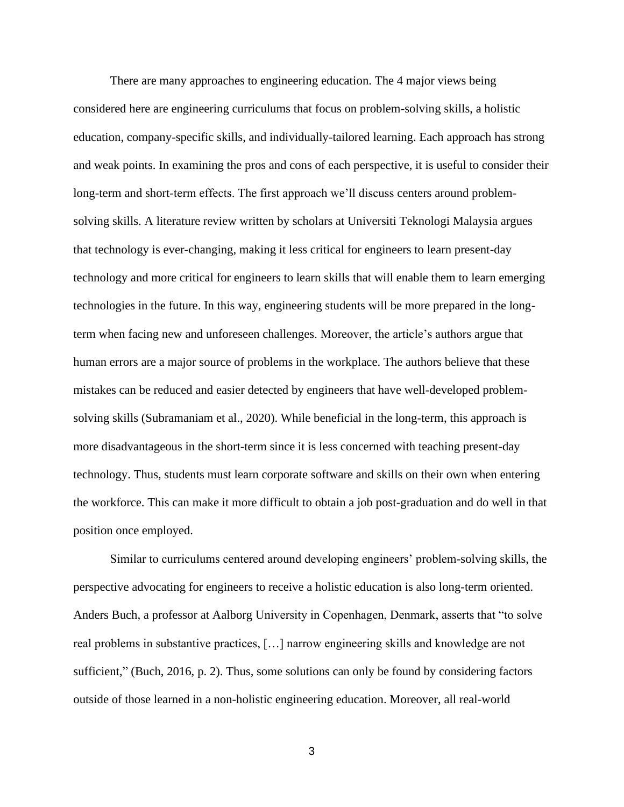There are many approaches to engineering education. The 4 major views being considered here are engineering curriculums that focus on problem-solving skills, a holistic education, company-specific skills, and individually-tailored learning. Each approach has strong and weak points. In examining the pros and cons of each perspective, it is useful to consider their long-term and short-term effects. The first approach we'll discuss centers around problemsolving skills. A literature review written by scholars at Universiti Teknologi Malaysia argues that technology is ever-changing, making it less critical for engineers to learn present-day technology and more critical for engineers to learn skills that will enable them to learn emerging technologies in the future. In this way, engineering students will be more prepared in the longterm when facing new and unforeseen challenges. Moreover, the article's authors argue that human errors are a major source of problems in the workplace. The authors believe that these mistakes can be reduced and easier detected by engineers that have well-developed problemsolving skills (Subramaniam et al., 2020). While beneficial in the long-term, this approach is more disadvantageous in the short-term since it is less concerned with teaching present-day technology. Thus, students must learn corporate software and skills on their own when entering the workforce. This can make it more difficult to obtain a job post-graduation and do well in that position once employed.

Similar to curriculums centered around developing engineers' problem-solving skills, the perspective advocating for engineers to receive a holistic education is also long-term oriented. Anders Buch, a professor at Aalborg University in Copenhagen, Denmark, asserts that "to solve real problems in substantive practices, […] narrow engineering skills and knowledge are not sufficient," (Buch, 2016, p. 2). Thus, some solutions can only be found by considering factors outside of those learned in a non-holistic engineering education. Moreover, all real-world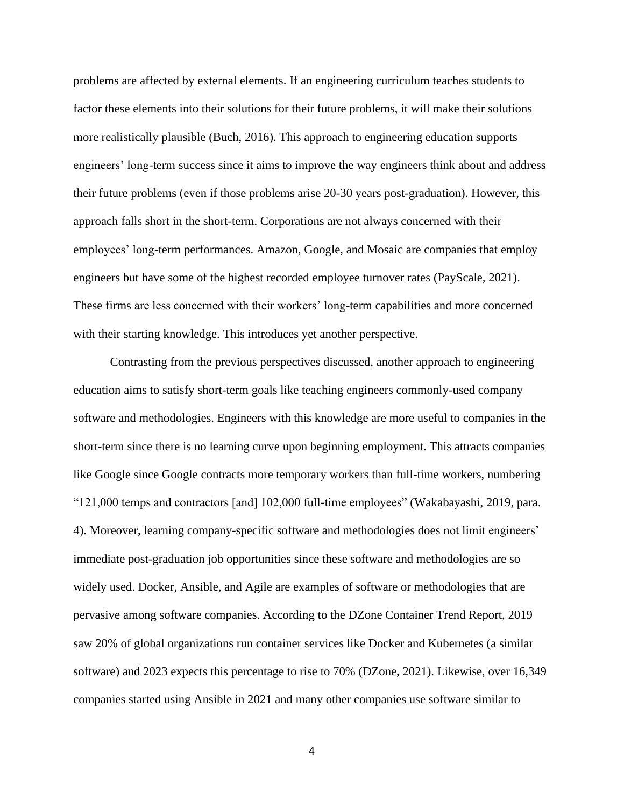problems are affected by external elements. If an engineering curriculum teaches students to factor these elements into their solutions for their future problems, it will make their solutions more realistically plausible (Buch, 2016). This approach to engineering education supports engineers' long-term success since it aims to improve the way engineers think about and address their future problems (even if those problems arise 20-30 years post-graduation). However, this approach falls short in the short-term. Corporations are not always concerned with their employees' long-term performances. Amazon, Google, and Mosaic are companies that employ engineers but have some of the highest recorded employee turnover rates (PayScale, 2021). These firms are less concerned with their workers' long-term capabilities and more concerned with their starting knowledge. This introduces yet another perspective.

Contrasting from the previous perspectives discussed, another approach to engineering education aims to satisfy short-term goals like teaching engineers commonly-used company software and methodologies. Engineers with this knowledge are more useful to companies in the short-term since there is no learning curve upon beginning employment. This attracts companies like Google since Google contracts more temporary workers than full-time workers, numbering "121,000 temps and contractors [and] 102,000 full-time employees" (Wakabayashi, 2019, para. 4). Moreover, learning company-specific software and methodologies does not limit engineers' immediate post-graduation job opportunities since these software and methodologies are so widely used. Docker, Ansible, and Agile are examples of software or methodologies that are pervasive among software companies. According to the DZone Container Trend Report, 2019 saw 20% of global organizations run container services like Docker and Kubernetes (a similar software) and 2023 expects this percentage to rise to 70% (DZone, 2021). Likewise, over 16,349 companies started using Ansible in 2021 and many other companies use software similar to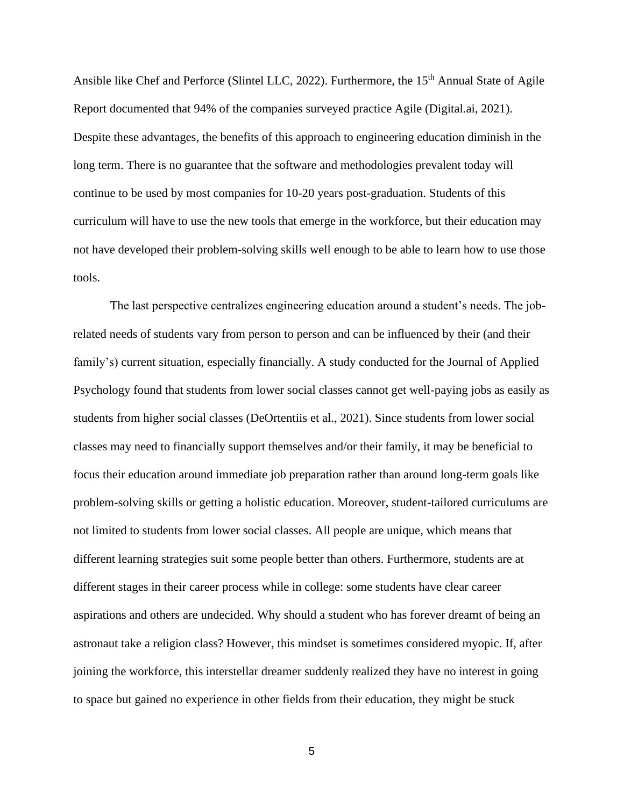Ansible like Chef and Perforce (Slintel LLC, 2022). Furthermore, the 15<sup>th</sup> Annual State of Agile Report documented that 94% of the companies surveyed practice Agile (Digital.ai, 2021). Despite these advantages, the benefits of this approach to engineering education diminish in the long term. There is no guarantee that the software and methodologies prevalent today will continue to be used by most companies for 10-20 years post-graduation. Students of this curriculum will have to use the new tools that emerge in the workforce, but their education may not have developed their problem-solving skills well enough to be able to learn how to use those tools.

The last perspective centralizes engineering education around a student's needs. The jobrelated needs of students vary from person to person and can be influenced by their (and their family's) current situation, especially financially. A study conducted for the Journal of Applied Psychology found that students from lower social classes cannot get well-paying jobs as easily as students from higher social classes (DeOrtentiis et al., 2021). Since students from lower social classes may need to financially support themselves and/or their family, it may be beneficial to focus their education around immediate job preparation rather than around long-term goals like problem-solving skills or getting a holistic education. Moreover, student-tailored curriculums are not limited to students from lower social classes. All people are unique, which means that different learning strategies suit some people better than others. Furthermore, students are at different stages in their career process while in college: some students have clear career aspirations and others are undecided. Why should a student who has forever dreamt of being an astronaut take a religion class? However, this mindset is sometimes considered myopic. If, after joining the workforce, this interstellar dreamer suddenly realized they have no interest in going to space but gained no experience in other fields from their education, they might be stuck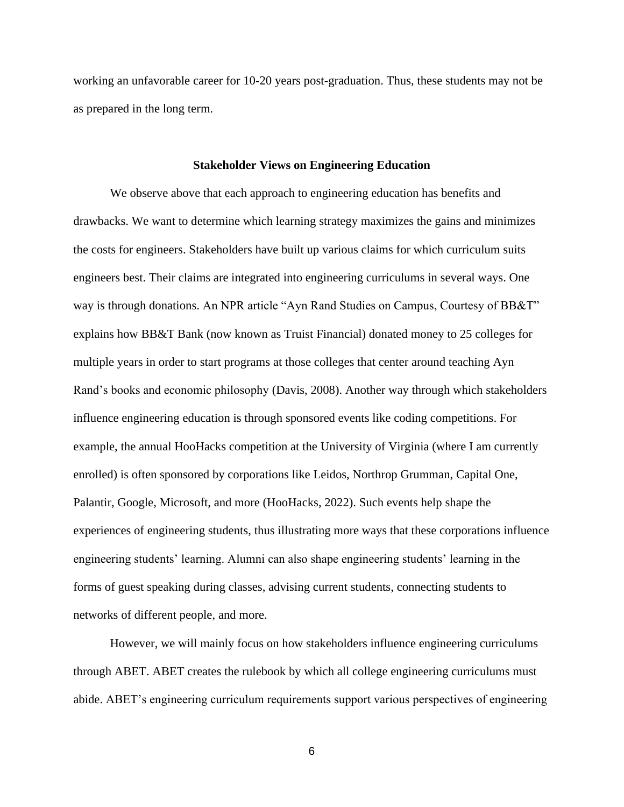working an unfavorable career for 10-20 years post-graduation. Thus, these students may not be as prepared in the long term.

## **Stakeholder Views on Engineering Education**

We observe above that each approach to engineering education has benefits and drawbacks. We want to determine which learning strategy maximizes the gains and minimizes the costs for engineers. Stakeholders have built up various claims for which curriculum suits engineers best. Their claims are integrated into engineering curriculums in several ways. One way is through donations. An NPR article "Ayn Rand Studies on Campus, Courtesy of BB&T" explains how BB&T Bank (now known as Truist Financial) donated money to 25 colleges for multiple years in order to start programs at those colleges that center around teaching Ayn Rand's books and economic philosophy (Davis, 2008). Another way through which stakeholders influence engineering education is through sponsored events like coding competitions. For example, the annual HooHacks competition at the University of Virginia (where I am currently enrolled) is often sponsored by corporations like Leidos, Northrop Grumman, Capital One, Palantir, Google, Microsoft, and more (HooHacks, 2022). Such events help shape the experiences of engineering students, thus illustrating more ways that these corporations influence engineering students' learning. Alumni can also shape engineering students' learning in the forms of guest speaking during classes, advising current students, connecting students to networks of different people, and more.

However, we will mainly focus on how stakeholders influence engineering curriculums through ABET. ABET creates the rulebook by which all college engineering curriculums must abide. ABET's engineering curriculum requirements support various perspectives of engineering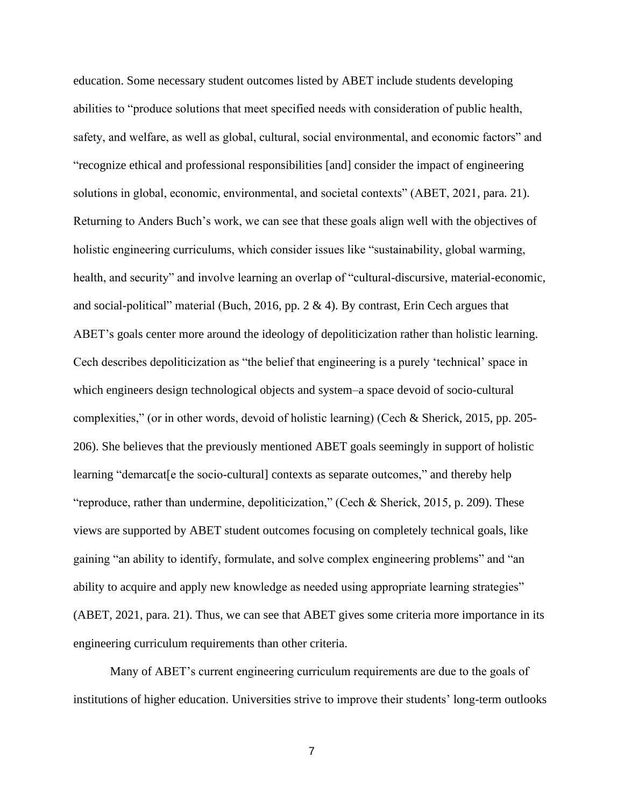education. Some necessary student outcomes listed by ABET include students developing abilities to "produce solutions that meet specified needs with consideration of public health, safety, and welfare, as well as global, cultural, social environmental, and economic factors" and "recognize ethical and professional responsibilities [and] consider the impact of engineering solutions in global, economic, environmental, and societal contexts" (ABET, 2021, para. 21). Returning to Anders Buch's work, we can see that these goals align well with the objectives of holistic engineering curriculums, which consider issues like "sustainability, global warming, health, and security" and involve learning an overlap of "cultural-discursive, material-economic, and social-political" material (Buch, 2016, pp.  $2 \& 4$ ). By contrast, Erin Cech argues that ABET's goals center more around the ideology of depoliticization rather than holistic learning. Cech describes depoliticization as "the belief that engineering is a purely 'technical' space in which engineers design technological objects and system–a space devoid of socio-cultural complexities," (or in other words, devoid of holistic learning) (Cech & Sherick, 2015, pp. 205- 206). She believes that the previously mentioned ABET goals seemingly in support of holistic learning "demarcat[e the socio-cultural] contexts as separate outcomes," and thereby help "reproduce, rather than undermine, depoliticization," (Cech & Sherick, 2015, p. 209). These views are supported by ABET student outcomes focusing on completely technical goals, like gaining "an ability to identify, formulate, and solve complex engineering problems" and "an ability to acquire and apply new knowledge as needed using appropriate learning strategies" (ABET, 2021, para. 21). Thus, we can see that ABET gives some criteria more importance in its engineering curriculum requirements than other criteria.

Many of ABET's current engineering curriculum requirements are due to the goals of institutions of higher education. Universities strive to improve their students' long-term outlooks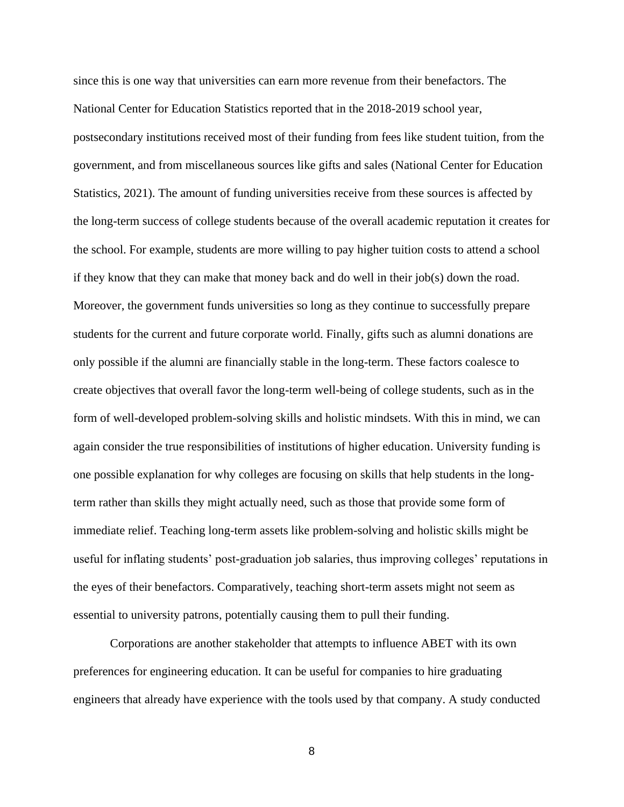since this is one way that universities can earn more revenue from their benefactors. The National Center for Education Statistics reported that in the 2018-2019 school year, postsecondary institutions received most of their funding from fees like student tuition, from the government, and from miscellaneous sources like gifts and sales (National Center for Education Statistics, 2021). The amount of funding universities receive from these sources is affected by the long-term success of college students because of the overall academic reputation it creates for the school. For example, students are more willing to pay higher tuition costs to attend a school if they know that they can make that money back and do well in their job(s) down the road. Moreover, the government funds universities so long as they continue to successfully prepare students for the current and future corporate world. Finally, gifts such as alumni donations are only possible if the alumni are financially stable in the long-term. These factors coalesce to create objectives that overall favor the long-term well-being of college students, such as in the form of well-developed problem-solving skills and holistic mindsets. With this in mind, we can again consider the true responsibilities of institutions of higher education. University funding is one possible explanation for why colleges are focusing on skills that help students in the longterm rather than skills they might actually need, such as those that provide some form of immediate relief. Teaching long-term assets like problem-solving and holistic skills might be useful for inflating students' post-graduation job salaries, thus improving colleges' reputations in the eyes of their benefactors. Comparatively, teaching short-term assets might not seem as essential to university patrons, potentially causing them to pull their funding.

Corporations are another stakeholder that attempts to influence ABET with its own preferences for engineering education. It can be useful for companies to hire graduating engineers that already have experience with the tools used by that company. A study conducted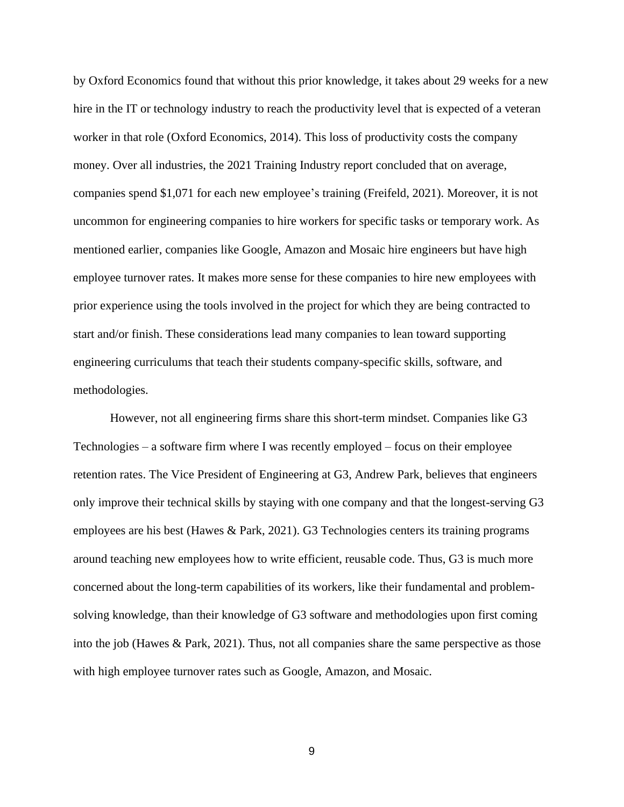by Oxford Economics found that without this prior knowledge, it takes about 29 weeks for a new hire in the IT or technology industry to reach the productivity level that is expected of a veteran worker in that role (Oxford Economics, 2014). This loss of productivity costs the company money. Over all industries, the 2021 Training Industry report concluded that on average, companies spend \$1,071 for each new employee's training (Freifeld, 2021). Moreover, it is not uncommon for engineering companies to hire workers for specific tasks or temporary work. As mentioned earlier, companies like Google, Amazon and Mosaic hire engineers but have high employee turnover rates. It makes more sense for these companies to hire new employees with prior experience using the tools involved in the project for which they are being contracted to start and/or finish. These considerations lead many companies to lean toward supporting engineering curriculums that teach their students company-specific skills, software, and methodologies.

However, not all engineering firms share this short-term mindset. Companies like G3 Technologies – a software firm where I was recently employed – focus on their employee retention rates. The Vice President of Engineering at G3, Andrew Park, believes that engineers only improve their technical skills by staying with one company and that the longest-serving G3 employees are his best (Hawes & Park, 2021). G3 Technologies centers its training programs around teaching new employees how to write efficient, reusable code. Thus, G3 is much more concerned about the long-term capabilities of its workers, like their fundamental and problemsolving knowledge, than their knowledge of G3 software and methodologies upon first coming into the job (Hawes & Park, 2021). Thus, not all companies share the same perspective as those with high employee turnover rates such as Google, Amazon, and Mosaic.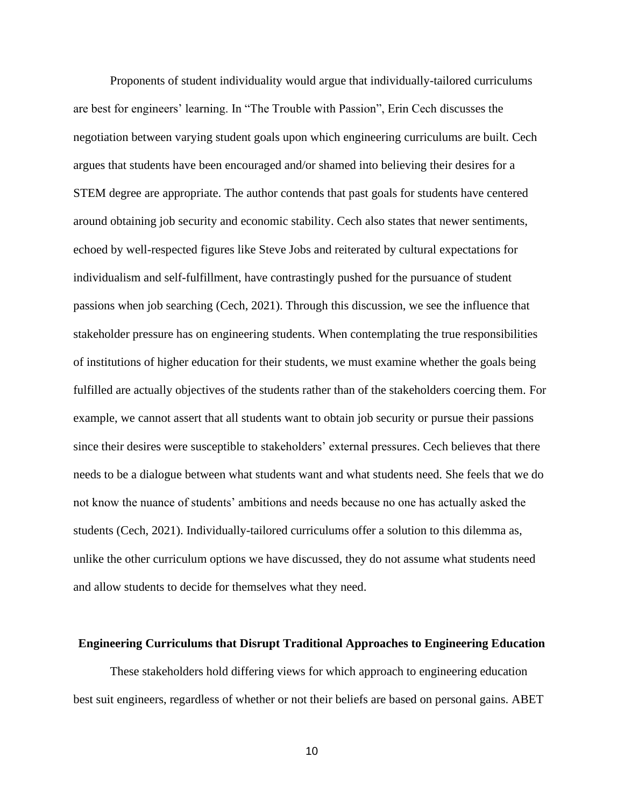Proponents of student individuality would argue that individually-tailored curriculums are best for engineers' learning. In "The Trouble with Passion", Erin Cech discusses the negotiation between varying student goals upon which engineering curriculums are built. Cech argues that students have been encouraged and/or shamed into believing their desires for a STEM degree are appropriate. The author contends that past goals for students have centered around obtaining job security and economic stability. Cech also states that newer sentiments, echoed by well-respected figures like Steve Jobs and reiterated by cultural expectations for individualism and self-fulfillment, have contrastingly pushed for the pursuance of student passions when job searching (Cech, 2021). Through this discussion, we see the influence that stakeholder pressure has on engineering students. When contemplating the true responsibilities of institutions of higher education for their students, we must examine whether the goals being fulfilled are actually objectives of the students rather than of the stakeholders coercing them. For example, we cannot assert that all students want to obtain job security or pursue their passions since their desires were susceptible to stakeholders' external pressures. Cech believes that there needs to be a dialogue between what students want and what students need. She feels that we do not know the nuance of students' ambitions and needs because no one has actually asked the students (Cech, 2021). Individually-tailored curriculums offer a solution to this dilemma as, unlike the other curriculum options we have discussed, they do not assume what students need and allow students to decide for themselves what they need.

#### **Engineering Curriculums that Disrupt Traditional Approaches to Engineering Education**

These stakeholders hold differing views for which approach to engineering education best suit engineers, regardless of whether or not their beliefs are based on personal gains. ABET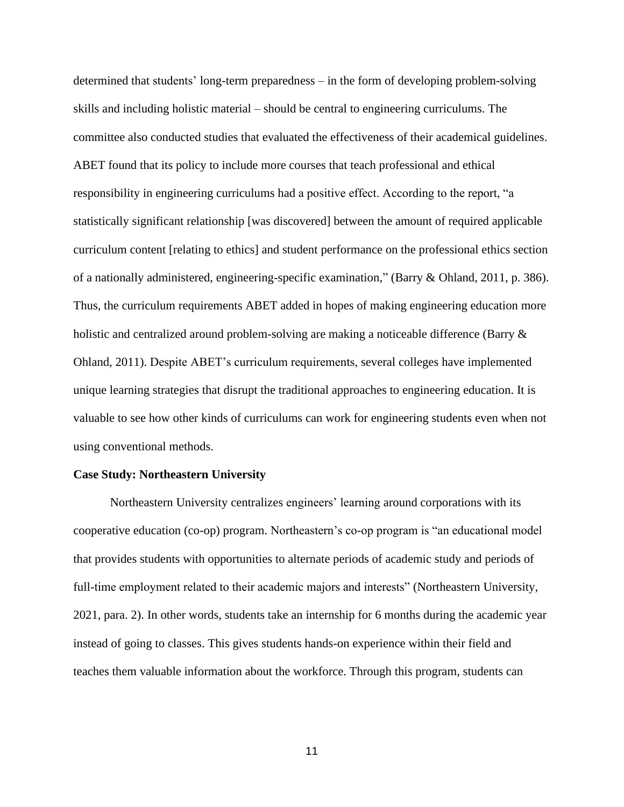determined that students' long-term preparedness – in the form of developing problem-solving skills and including holistic material – should be central to engineering curriculums. The committee also conducted studies that evaluated the effectiveness of their academical guidelines. ABET found that its policy to include more courses that teach professional and ethical responsibility in engineering curriculums had a positive effect. According to the report, "a statistically significant relationship [was discovered] between the amount of required applicable curriculum content [relating to ethics] and student performance on the professional ethics section of a nationally administered, engineering-specific examination," (Barry & Ohland, 2011, p. 386). Thus, the curriculum requirements ABET added in hopes of making engineering education more holistic and centralized around problem-solving are making a noticeable difference (Barry  $\&$ Ohland, 2011). Despite ABET's curriculum requirements, several colleges have implemented unique learning strategies that disrupt the traditional approaches to engineering education. It is valuable to see how other kinds of curriculums can work for engineering students even when not using conventional methods.

#### **Case Study: Northeastern University**

Northeastern University centralizes engineers' learning around corporations with its cooperative education (co-op) program. Northeastern's co-op program is "an educational model that provides students with opportunities to alternate periods of academic study and periods of full-time employment related to their academic majors and interests" (Northeastern University, 2021, para. 2). In other words, students take an internship for 6 months during the academic year instead of going to classes. This gives students hands-on experience within their field and teaches them valuable information about the workforce. Through this program, students can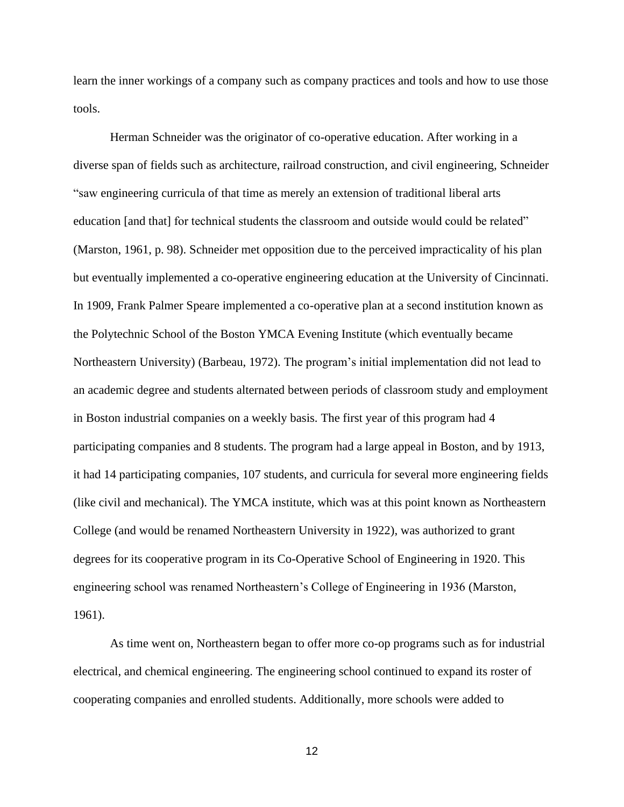learn the inner workings of a company such as company practices and tools and how to use those tools.

Herman Schneider was the originator of co-operative education. After working in a diverse span of fields such as architecture, railroad construction, and civil engineering, Schneider "saw engineering curricula of that time as merely an extension of traditional liberal arts education [and that] for technical students the classroom and outside would could be related" (Marston, 1961, p. 98). Schneider met opposition due to the perceived impracticality of his plan but eventually implemented a co-operative engineering education at the University of Cincinnati. In 1909, Frank Palmer Speare implemented a co-operative plan at a second institution known as the Polytechnic School of the Boston YMCA Evening Institute (which eventually became Northeastern University) (Barbeau, 1972). The program's initial implementation did not lead to an academic degree and students alternated between periods of classroom study and employment in Boston industrial companies on a weekly basis. The first year of this program had 4 participating companies and 8 students. The program had a large appeal in Boston, and by 1913, it had 14 participating companies, 107 students, and curricula for several more engineering fields (like civil and mechanical). The YMCA institute, which was at this point known as Northeastern College (and would be renamed Northeastern University in 1922), was authorized to grant degrees for its cooperative program in its Co-Operative School of Engineering in 1920. This engineering school was renamed Northeastern's College of Engineering in 1936 (Marston, 1961).

As time went on, Northeastern began to offer more co-op programs such as for industrial electrical, and chemical engineering. The engineering school continued to expand its roster of cooperating companies and enrolled students. Additionally, more schools were added to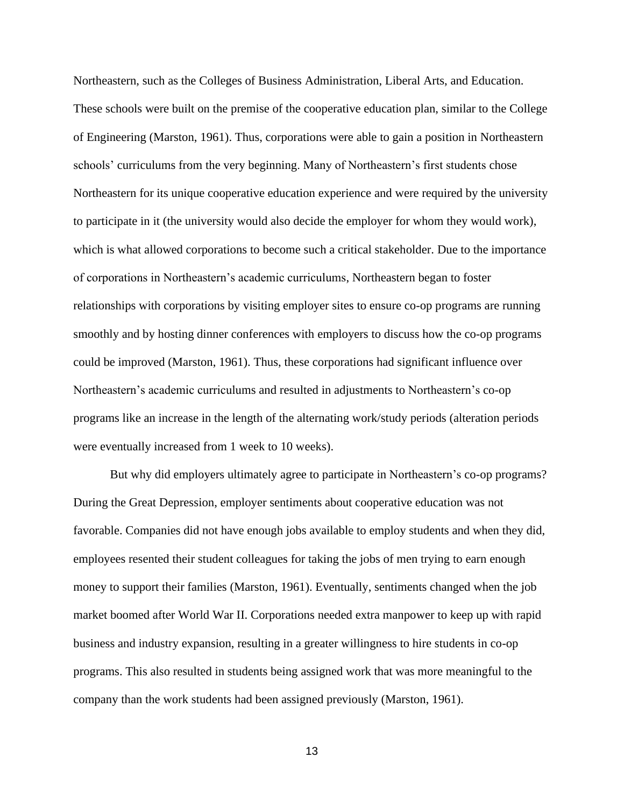Northeastern, such as the Colleges of Business Administration, Liberal Arts, and Education. These schools were built on the premise of the cooperative education plan, similar to the College of Engineering (Marston, 1961). Thus, corporations were able to gain a position in Northeastern schools' curriculums from the very beginning. Many of Northeastern's first students chose Northeastern for its unique cooperative education experience and were required by the university to participate in it (the university would also decide the employer for whom they would work), which is what allowed corporations to become such a critical stakeholder. Due to the importance of corporations in Northeastern's academic curriculums, Northeastern began to foster relationships with corporations by visiting employer sites to ensure co-op programs are running smoothly and by hosting dinner conferences with employers to discuss how the co-op programs could be improved (Marston, 1961). Thus, these corporations had significant influence over Northeastern's academic curriculums and resulted in adjustments to Northeastern's co-op programs like an increase in the length of the alternating work/study periods (alteration periods were eventually increased from 1 week to 10 weeks).

But why did employers ultimately agree to participate in Northeastern's co-op programs? During the Great Depression, employer sentiments about cooperative education was not favorable. Companies did not have enough jobs available to employ students and when they did, employees resented their student colleagues for taking the jobs of men trying to earn enough money to support their families (Marston, 1961). Eventually, sentiments changed when the job market boomed after World War II. Corporations needed extra manpower to keep up with rapid business and industry expansion, resulting in a greater willingness to hire students in co-op programs. This also resulted in students being assigned work that was more meaningful to the company than the work students had been assigned previously (Marston, 1961).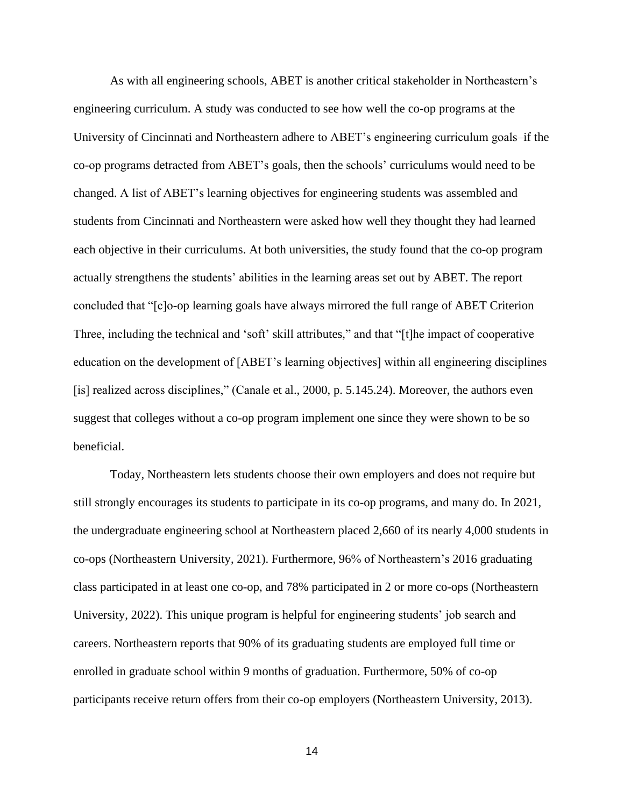As with all engineering schools, ABET is another critical stakeholder in Northeastern's engineering curriculum. A study was conducted to see how well the co-op programs at the University of Cincinnati and Northeastern adhere to ABET's engineering curriculum goals–if the co-op programs detracted from ABET's goals, then the schools' curriculums would need to be changed. A list of ABET's learning objectives for engineering students was assembled and students from Cincinnati and Northeastern were asked how well they thought they had learned each objective in their curriculums. At both universities, the study found that the co-op program actually strengthens the students' abilities in the learning areas set out by ABET. The report concluded that "[c]o-op learning goals have always mirrored the full range of ABET Criterion Three, including the technical and 'soft' skill attributes," and that "[t]he impact of cooperative education on the development of [ABET's learning objectives] within all engineering disciplines [is] realized across disciplines," (Canale et al., 2000, p. 5.145.24). Moreover, the authors even suggest that colleges without a co-op program implement one since they were shown to be so beneficial.

Today, Northeastern lets students choose their own employers and does not require but still strongly encourages its students to participate in its co-op programs, and many do. In 2021, the undergraduate engineering school at Northeastern placed 2,660 of its nearly 4,000 students in co-ops (Northeastern University, 2021). Furthermore, 96% of Northeastern's 2016 graduating class participated in at least one co-op, and 78% participated in 2 or more co-ops (Northeastern University, 2022). This unique program is helpful for engineering students' job search and careers. Northeastern reports that 90% of its graduating students are employed full time or enrolled in graduate school within 9 months of graduation. Furthermore, 50% of co-op participants receive return offers from their co-op employers (Northeastern University, 2013).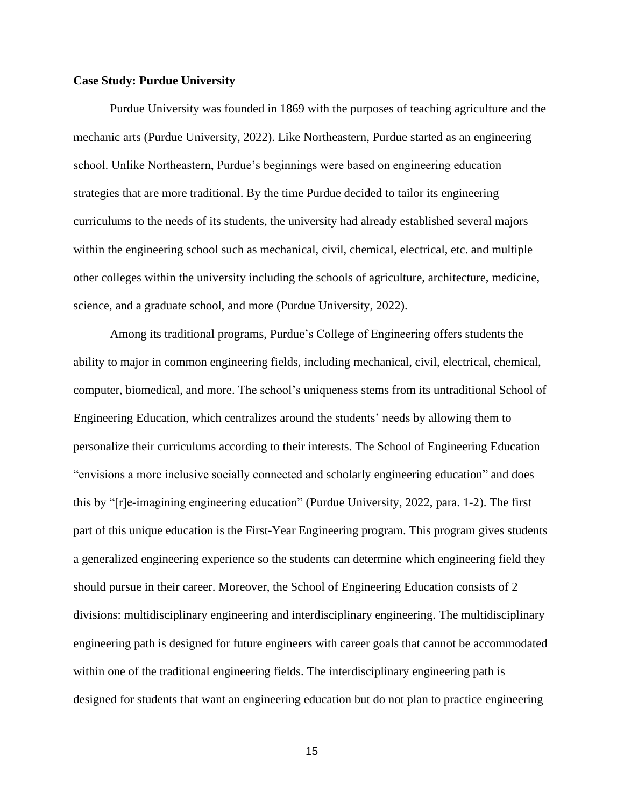### **Case Study: Purdue University**

Purdue University was founded in 1869 with the purposes of teaching agriculture and the mechanic arts (Purdue University, 2022). Like Northeastern, Purdue started as an engineering school. Unlike Northeastern, Purdue's beginnings were based on engineering education strategies that are more traditional. By the time Purdue decided to tailor its engineering curriculums to the needs of its students, the university had already established several majors within the engineering school such as mechanical, civil, chemical, electrical, etc. and multiple other colleges within the university including the schools of agriculture, architecture, medicine, science, and a graduate school, and more (Purdue University, 2022).

Among its traditional programs, Purdue's College of Engineering offers students the ability to major in common engineering fields, including mechanical, civil, electrical, chemical, computer, biomedical, and more. The school's uniqueness stems from its untraditional School of Engineering Education, which centralizes around the students' needs by allowing them to personalize their curriculums according to their interests. The School of Engineering Education "envisions a more inclusive socially connected and scholarly engineering education" and does this by "[r]e-imagining engineering education" (Purdue University, 2022, para. 1-2). The first part of this unique education is the First-Year Engineering program. This program gives students a generalized engineering experience so the students can determine which engineering field they should pursue in their career. Moreover, the School of Engineering Education consists of 2 divisions: multidisciplinary engineering and interdisciplinary engineering. The multidisciplinary engineering path is designed for future engineers with career goals that cannot be accommodated within one of the traditional engineering fields. The interdisciplinary engineering path is designed for students that want an engineering education but do not plan to practice engineering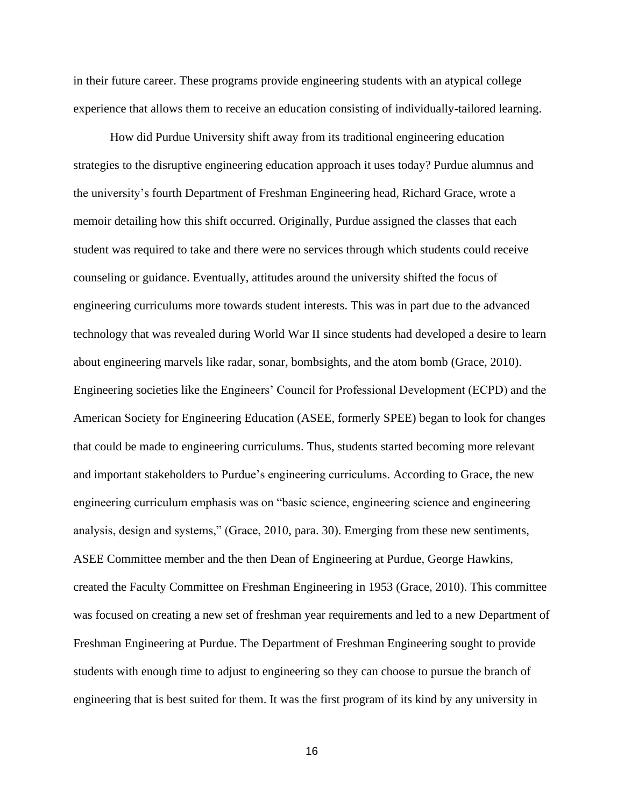in their future career. These programs provide engineering students with an atypical college experience that allows them to receive an education consisting of individually-tailored learning.

How did Purdue University shift away from its traditional engineering education strategies to the disruptive engineering education approach it uses today? Purdue alumnus and the university's fourth Department of Freshman Engineering head, Richard Grace, wrote a memoir detailing how this shift occurred. Originally, Purdue assigned the classes that each student was required to take and there were no services through which students could receive counseling or guidance. Eventually, attitudes around the university shifted the focus of engineering curriculums more towards student interests. This was in part due to the advanced technology that was revealed during World War II since students had developed a desire to learn about engineering marvels like radar, sonar, bombsights, and the atom bomb (Grace, 2010). Engineering societies like the Engineers' Council for Professional Development (ECPD) and the American Society for Engineering Education (ASEE, formerly SPEE) began to look for changes that could be made to engineering curriculums. Thus, students started becoming more relevant and important stakeholders to Purdue's engineering curriculums. According to Grace, the new engineering curriculum emphasis was on "basic science, engineering science and engineering analysis, design and systems," (Grace, 2010, para. 30). Emerging from these new sentiments, ASEE Committee member and the then Dean of Engineering at Purdue, George Hawkins, created the Faculty Committee on Freshman Engineering in 1953 (Grace, 2010). This committee was focused on creating a new set of freshman year requirements and led to a new Department of Freshman Engineering at Purdue. The Department of Freshman Engineering sought to provide students with enough time to adjust to engineering so they can choose to pursue the branch of engineering that is best suited for them. It was the first program of its kind by any university in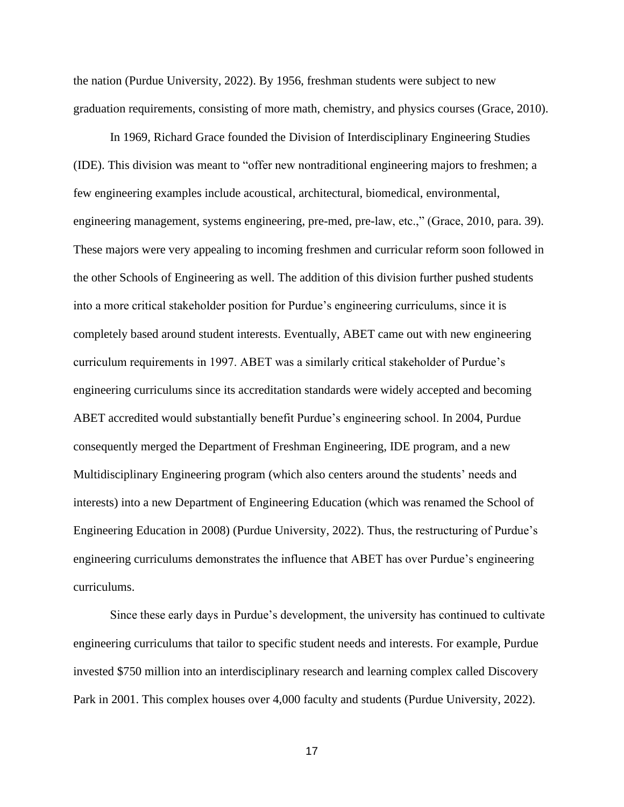the nation (Purdue University, 2022). By 1956, freshman students were subject to new graduation requirements, consisting of more math, chemistry, and physics courses (Grace, 2010).

In 1969, Richard Grace founded the Division of Interdisciplinary Engineering Studies (IDE). This division was meant to "offer new nontraditional engineering majors to freshmen; a few engineering examples include acoustical, architectural, biomedical, environmental, engineering management, systems engineering, pre-med, pre-law, etc.," (Grace, 2010, para. 39). These majors were very appealing to incoming freshmen and curricular reform soon followed in the other Schools of Engineering as well. The addition of this division further pushed students into a more critical stakeholder position for Purdue's engineering curriculums, since it is completely based around student interests. Eventually, ABET came out with new engineering curriculum requirements in 1997. ABET was a similarly critical stakeholder of Purdue's engineering curriculums since its accreditation standards were widely accepted and becoming ABET accredited would substantially benefit Purdue's engineering school. In 2004, Purdue consequently merged the Department of Freshman Engineering, IDE program, and a new Multidisciplinary Engineering program (which also centers around the students' needs and interests) into a new Department of Engineering Education (which was renamed the School of Engineering Education in 2008) (Purdue University, 2022). Thus, the restructuring of Purdue's engineering curriculums demonstrates the influence that ABET has over Purdue's engineering curriculums.

Since these early days in Purdue's development, the university has continued to cultivate engineering curriculums that tailor to specific student needs and interests. For example, Purdue invested \$750 million into an interdisciplinary research and learning complex called Discovery Park in 2001. This complex houses over 4,000 faculty and students (Purdue University, 2022).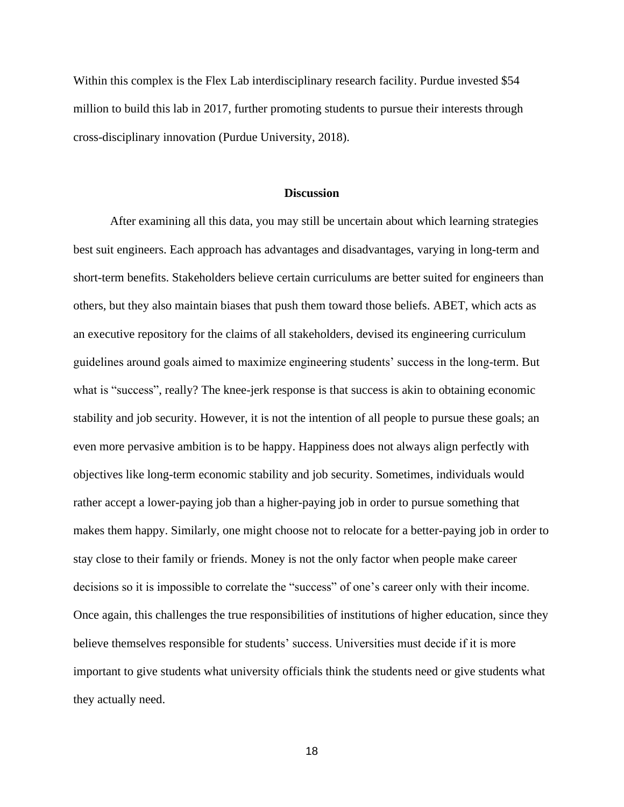Within this complex is the Flex Lab interdisciplinary research facility. Purdue invested \$54 million to build this lab in 2017, further promoting students to pursue their interests through cross-disciplinary innovation (Purdue University, 2018).

### **Discussion**

After examining all this data, you may still be uncertain about which learning strategies best suit engineers. Each approach has advantages and disadvantages, varying in long-term and short-term benefits. Stakeholders believe certain curriculums are better suited for engineers than others, but they also maintain biases that push them toward those beliefs. ABET, which acts as an executive repository for the claims of all stakeholders, devised its engineering curriculum guidelines around goals aimed to maximize engineering students' success in the long-term. But what is "success", really? The knee-jerk response is that success is akin to obtaining economic stability and job security. However, it is not the intention of all people to pursue these goals; an even more pervasive ambition is to be happy. Happiness does not always align perfectly with objectives like long-term economic stability and job security. Sometimes, individuals would rather accept a lower-paying job than a higher-paying job in order to pursue something that makes them happy. Similarly, one might choose not to relocate for a better-paying job in order to stay close to their family or friends. Money is not the only factor when people make career decisions so it is impossible to correlate the "success" of one's career only with their income. Once again, this challenges the true responsibilities of institutions of higher education, since they believe themselves responsible for students' success. Universities must decide if it is more important to give students what university officials think the students need or give students what they actually need.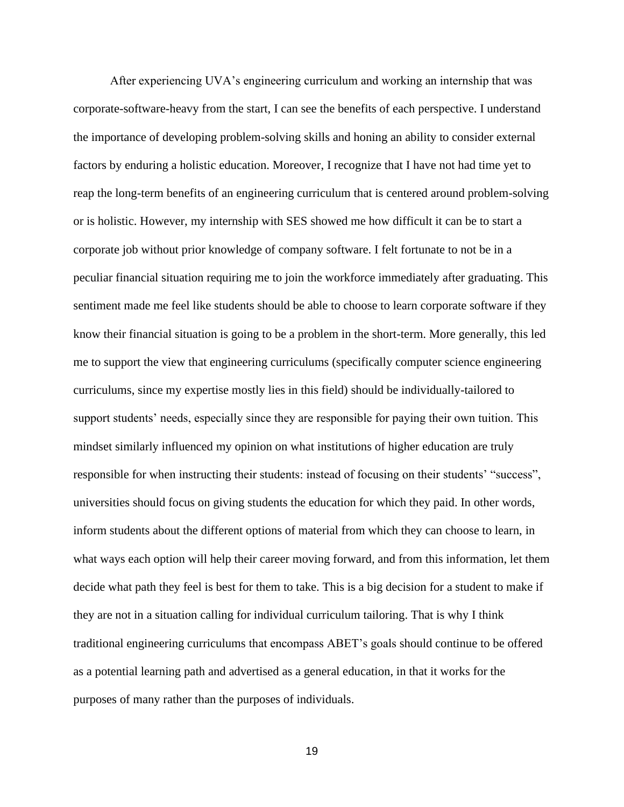After experiencing UVA's engineering curriculum and working an internship that was corporate-software-heavy from the start, I can see the benefits of each perspective. I understand the importance of developing problem-solving skills and honing an ability to consider external factors by enduring a holistic education. Moreover, I recognize that I have not had time yet to reap the long-term benefits of an engineering curriculum that is centered around problem-solving or is holistic. However, my internship with SES showed me how difficult it can be to start a corporate job without prior knowledge of company software. I felt fortunate to not be in a peculiar financial situation requiring me to join the workforce immediately after graduating. This sentiment made me feel like students should be able to choose to learn corporate software if they know their financial situation is going to be a problem in the short-term. More generally, this led me to support the view that engineering curriculums (specifically computer science engineering curriculums, since my expertise mostly lies in this field) should be individually-tailored to support students' needs, especially since they are responsible for paying their own tuition. This mindset similarly influenced my opinion on what institutions of higher education are truly responsible for when instructing their students: instead of focusing on their students' "success", universities should focus on giving students the education for which they paid. In other words, inform students about the different options of material from which they can choose to learn, in what ways each option will help their career moving forward, and from this information, let them decide what path they feel is best for them to take. This is a big decision for a student to make if they are not in a situation calling for individual curriculum tailoring. That is why I think traditional engineering curriculums that encompass ABET's goals should continue to be offered as a potential learning path and advertised as a general education, in that it works for the purposes of many rather than the purposes of individuals.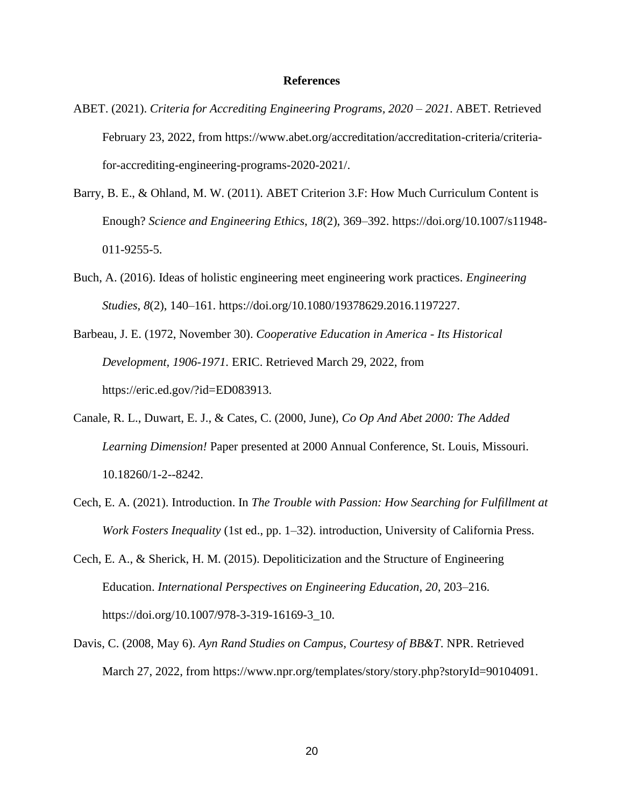### **References**

- ABET. (2021). *Criteria for Accrediting Engineering Programs, 2020 – 2021*. ABET. Retrieved February 23, 2022, from https://www.abet.org/accreditation/accreditation-criteria/criteriafor-accrediting-engineering-programs-2020-2021/.
- Barry, B. E., & Ohland, M. W. (2011). ABET Criterion 3.F: How Much Curriculum Content is Enough? *Science and Engineering Ethics*, *18*(2), 369–392. https://doi.org/10.1007/s11948- 011-9255-5.
- Buch, A. (2016). Ideas of holistic engineering meet engineering work practices. *Engineering Studies*, *8*(2), 140–161. https://doi.org/10.1080/19378629.2016.1197227.
- Barbeau, J. E. (1972, November 30). *Cooperative Education in America - Its Historical Development, 1906-1971.* ERIC. Retrieved March 29, 2022, from https://eric.ed.gov/?id=ED083913.
- Canale, R. L., Duwart, E. J., & Cates, C. (2000, June), *Co Op And Abet 2000: The Added Learning Dimension!* Paper presented at 2000 Annual Conference, St. Louis, Missouri. 10.18260/1-2--8242.
- Cech, E. A. (2021). Introduction. In *The Trouble with Passion: How Searching for Fulfillment at Work Fosters Inequality* (1st ed., pp. 1–32). introduction, University of California Press.
- Cech, E. A., & Sherick, H. M. (2015). Depoliticization and the Structure of Engineering Education. *International Perspectives on Engineering Education*, *20*, 203–216. https://doi.org/10.1007/978-3-319-16169-3\_10.
- Davis, C. (2008, May 6). *Ayn Rand Studies on Campus, Courtesy of BB&T*. NPR. Retrieved March 27, 2022, from https://www.npr.org/templates/story/story.php?storyId=90104091.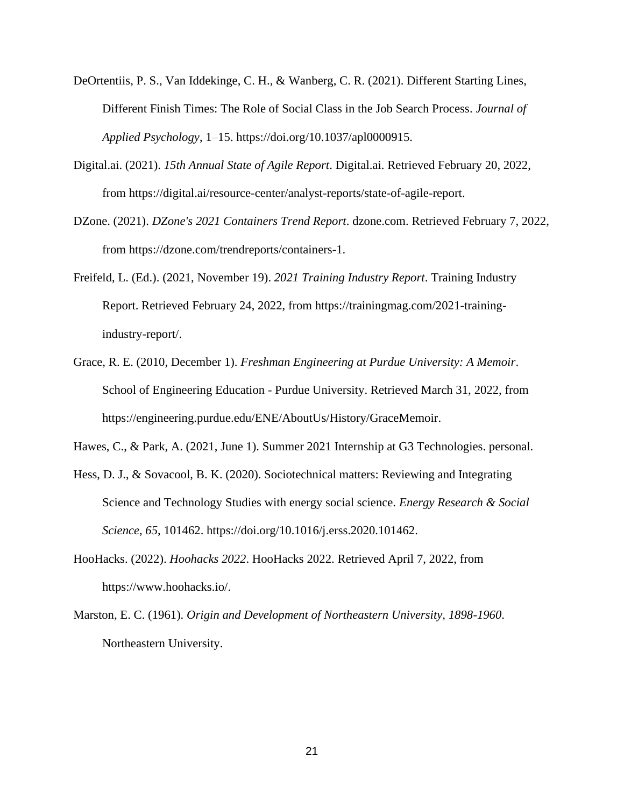- DeOrtentiis, P. S., Van Iddekinge, C. H., & Wanberg, C. R. (2021). Different Starting Lines, Different Finish Times: The Role of Social Class in the Job Search Process. *Journal of Applied Psychology*, 1–15. https://doi.org/10.1037/apl0000915.
- Digital.ai. (2021). *15th Annual State of Agile Report*. Digital.ai. Retrieved February 20, 2022, from https://digital.ai/resource-center/analyst-reports/state-of-agile-report.
- DZone. (2021). *DZone's 2021 Containers Trend Report*. dzone.com. Retrieved February 7, 2022, from https://dzone.com/trendreports/containers-1.
- Freifeld, L. (Ed.). (2021, November 19). *2021 Training Industry Report*. Training Industry Report. Retrieved February 24, 2022, from https://trainingmag.com/2021-trainingindustry-report/.
- Grace, R. E. (2010, December 1). *Freshman Engineering at Purdue University: A Memoir*. School of Engineering Education - Purdue University. Retrieved March 31, 2022, from https://engineering.purdue.edu/ENE/AboutUs/History/GraceMemoir.

Hawes, C., & Park, A. (2021, June 1). Summer 2021 Internship at G3 Technologies. personal.

- Hess, D. J., & Sovacool, B. K. (2020). Sociotechnical matters: Reviewing and Integrating Science and Technology Studies with energy social science. *Energy Research & Social Science*, *65*, 101462. https://doi.org/10.1016/j.erss.2020.101462.
- HooHacks. (2022). *Hoohacks 2022*. HooHacks 2022. Retrieved April 7, 2022, from https://www.hoohacks.io/.
- Marston, E. C. (1961). *Origin and Development of Northeastern University, 1898-1960*. Northeastern University.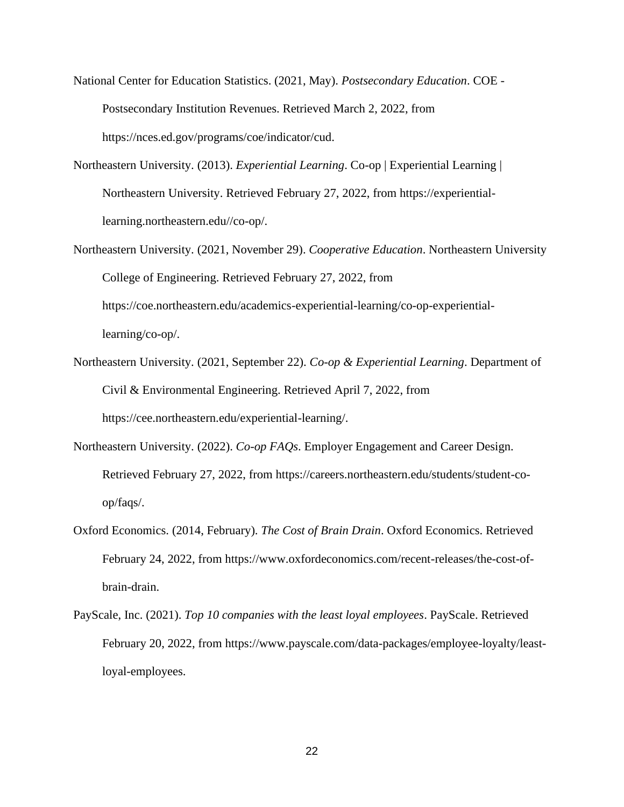- National Center for Education Statistics. (2021, May). *Postsecondary Education*. COE Postsecondary Institution Revenues. Retrieved March 2, 2022, from https://nces.ed.gov/programs/coe/indicator/cud.
- Northeastern University. (2013). *Experiential Learning*. Co-op | Experiential Learning | Northeastern University. Retrieved February 27, 2022, from https://experientiallearning.northeastern.edu//co-op/.
- Northeastern University. (2021, November 29). *Cooperative Education*. Northeastern University College of Engineering. Retrieved February 27, 2022, from https://coe.northeastern.edu/academics-experiential-learning/co-op-experientiallearning/co-op/.
- Northeastern University. (2021, September 22). *Co-op & Experiential Learning*. Department of Civil & Environmental Engineering. Retrieved April 7, 2022, from https://cee.northeastern.edu/experiential-learning/.
- Northeastern University. (2022). *Co-op FAQs*. Employer Engagement and Career Design. Retrieved February 27, 2022, from https://careers.northeastern.edu/students/student-coop/faqs/.
- Oxford Economics. (2014, February). *The Cost of Brain Drain*. Oxford Economics. Retrieved February 24, 2022, from https://www.oxfordeconomics.com/recent-releases/the-cost-ofbrain-drain.
- PayScale, Inc. (2021). *Top 10 companies with the least loyal employees*. PayScale. Retrieved February 20, 2022, from https://www.payscale.com/data-packages/employee-loyalty/leastloyal-employees.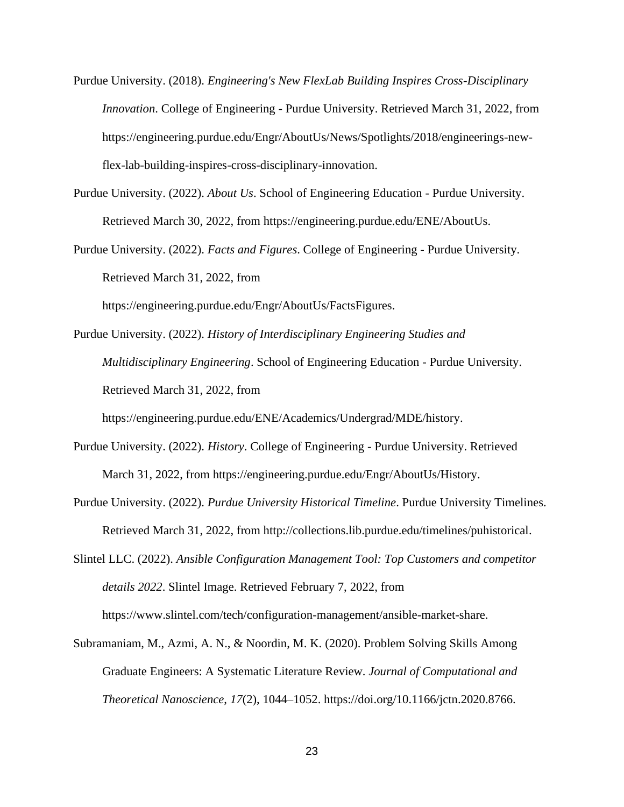Purdue University. (2018). *Engineering's New FlexLab Building Inspires Cross-Disciplinary Innovation*. College of Engineering - Purdue University. Retrieved March 31, 2022, from https://engineering.purdue.edu/Engr/AboutUs/News/Spotlights/2018/engineerings-newflex-lab-building-inspires-cross-disciplinary-innovation.

Purdue University. (2022). *About Us*. School of Engineering Education - Purdue University. Retrieved March 30, 2022, from https://engineering.purdue.edu/ENE/AboutUs.

Purdue University. (2022). *Facts and Figures*. College of Engineering - Purdue University. Retrieved March 31, 2022, from

https://engineering.purdue.edu/Engr/AboutUs/FactsFigures.

Purdue University. (2022). *History of Interdisciplinary Engineering Studies and Multidisciplinary Engineering*. School of Engineering Education - Purdue University. Retrieved March 31, 2022, from

https://engineering.purdue.edu/ENE/Academics/Undergrad/MDE/history.

- Purdue University. (2022). *History*. College of Engineering Purdue University. Retrieved March 31, 2022, from https://engineering.purdue.edu/Engr/AboutUs/History.
- Purdue University. (2022). *Purdue University Historical Timeline*. Purdue University Timelines. Retrieved March 31, 2022, from http://collections.lib.purdue.edu/timelines/puhistorical.

Slintel LLC. (2022). *Ansible Configuration Management Tool: Top Customers and competitor details 2022*. Slintel Image. Retrieved February 7, 2022, from https://www.slintel.com/tech/configuration-management/ansible-market-share.

Subramaniam, M., Azmi, A. N., & Noordin, M. K. (2020). Problem Solving Skills Among Graduate Engineers: A Systematic Literature Review. *Journal of Computational and Theoretical Nanoscience*, *17*(2), 1044–1052. https://doi.org/10.1166/jctn.2020.8766.